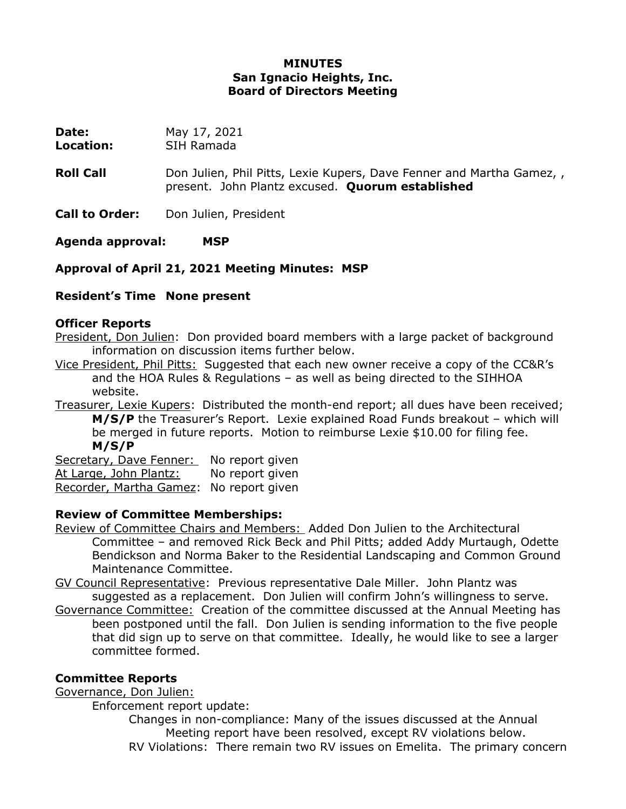## **MINUTES San Ignacio Heights, Inc. Board of Directors Meeting**

**Date:** May 17, 2021

**Location:** SIH Ramada

**Roll Call Call** Don Julien, Phil Pitts, Lexie Kupers, Dave Fenner and Martha Gamez, present. John Plantz excused. **Quorum established**

**Call to Order:** Don Julien, President

**Agenda approval: MSP**

**Approval of April 21, 2021 Meeting Minutes: MSP**

# **Resident's Time None present**

## **Officer Reports**

President, Don Julien: Don provided board members with a large packet of background information on discussion items further below.

Vice President, Phil Pitts: Suggested that each new owner receive a copy of the CC&R's and the HOA Rules & Regulations – as well as being directed to the SIHHOA website.

Treasurer, Lexie Kupers: Distributed the month-end report; all dues have been received; **M/S/P** the Treasurer's Report. Lexie explained Road Funds breakout – which will be merged in future reports. Motion to reimburse Lexie \$10.00 for filing fee. **M/S/P**

Secretary, Dave Fenner: No report given At Large, John Plantz: No report given Recorder, Martha Gamez: No report given

# **Review of Committee Memberships:**

Review of Committee Chairs and Members: Added Don Julien to the Architectural Committee – and removed Rick Beck and Phil Pitts; added Addy Murtaugh, Odette Bendickson and Norma Baker to the Residential Landscaping and Common Ground Maintenance Committee.

GV Council Representative: Previous representative Dale Miller. John Plantz was suggested as a replacement. Don Julien will confirm John's willingness to serve.

Governance Committee: Creation of the committee discussed at the Annual Meeting has been postponed until the fall. Don Julien is sending information to the five people that did sign up to serve on that committee. Ideally, he would like to see a larger committee formed.

# **Committee Reports**

Governance, Don Julien:

Enforcement report update:

Changes in non-compliance: Many of the issues discussed at the Annual Meeting report have been resolved, except RV violations below. RV Violations: There remain two RV issues on Emelita. The primary concern